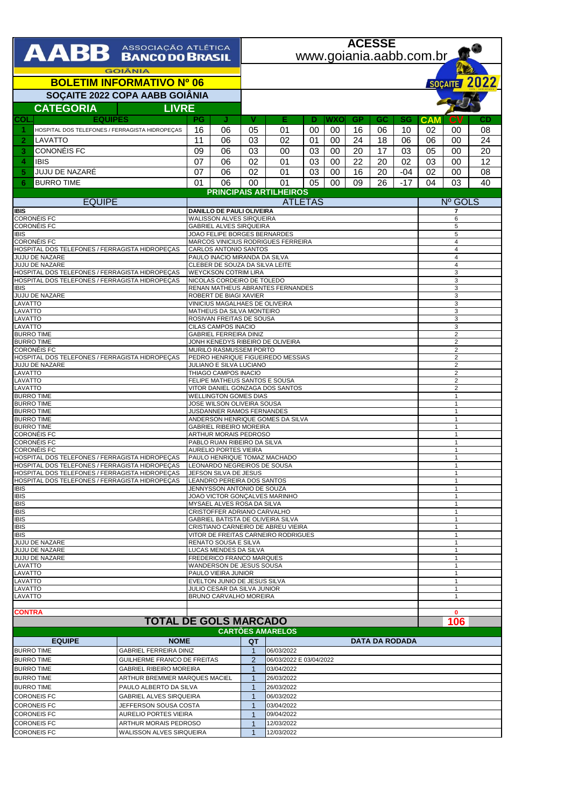| <b>AABB</b> ASSOCIAÇÃO ATLÉTICA<br>www.goiania.aabb.com.br<br><b>GOIÂNIA</b><br><b>BOLETIM INFORMATIVO Nº 06</b><br>SOÇAITE 2022 COPA AABB GOIÂNIA<br><b>CATEGORIA</b><br><b>LIVRE</b><br><b>EQUIPES</b><br><b>COL</b><br>Ε<br>IJ<br>v<br><b>WXO</b><br>PG<br><b>GP</b><br><b>CAM</b><br>D<br>GC<br>SG<br>16<br>05<br>01<br>00<br>00<br>16<br>06<br>10<br>02<br>-1<br>HOSPITAL DOS TELEFONES / FERRAGISTA HIDROPECAS<br>06<br>02<br>18<br>06<br>11<br>06<br>03<br>00<br>24<br>06<br>2<br>LAVATTO<br>01<br><b>CONONÉIS FC</b><br>17<br>3<br>09<br>03<br>00<br>00<br>20<br>03<br>05<br>06<br>03<br>02<br>22<br>20<br>02<br>03<br>07<br>06<br>01<br>03<br>00<br>4<br><b>IBIS</b><br>06<br>02<br>16<br>20<br>02<br>JUJU DE NAZARÊ<br>07<br>01<br>03<br>00<br>-04<br>5<br>26<br>$-17$<br>01<br>06<br>00<br>01<br>05<br>00<br>09<br>04<br><b>BURRO TIME</b><br>6<br><b>PRINCIPAIS ARTILHEIROS</b><br><b>EQUIPE</b><br><b>ATLETAS</b><br><b>IBIS</b><br>DANILLO DE PAULI OLIVEIRA<br><b>CORONÉIS FC</b><br>WALISSON ALVES SIRQUEIRA<br><b>CORONÉIS FC</b><br><b>GABRIEL ALVES SIRQUEIRA</b><br><b>IBIS</b><br>JOAO FELIPE BORGES BERNARDES<br><b>CORONÉIS FC</b><br>MARCOS VINICIUS RODRIGUES FERREIRA<br>HOSPITAL DOS TELEFONES / FERRAGISTA HIDROPEÇAS<br>CARLOS ANTONIO SANTOS<br>JUJU DE NAZARE<br>PAULO INACIO MIRANDA DA SILVA<br>JUJU DE NAZARE<br>CLEBER DE SOUZA DA SILVA LEITE<br>HOSPITAL DOS TELEFONES / FERRAGISTA HIDROPEÇAS<br><b>WEYCKSON COTRIM LIRA</b><br>HOSPITAL DOS TELEFONES / FERRAGISTA HIDROPECAS<br>NICOLAS CORDEIRO DE TOLEDO<br>RENAN MATHEUS ABRANTES FERNANDES<br><b>IBIS</b><br>JUJU DE NAZARE<br>ROBERT DE BIAGI XAVIER<br>LAVATTO<br>VINICIUS MAGALHAES DE OLIVEIRA<br>LAVATTO<br>MATHEUS DA SILVA MONTEIRO<br>LAVATTO<br>ROSIVAN FREITAS DE SOUSA<br>LAVATTO<br>CILAS CAMPOS INACIO<br><b>BURRO TIME</b><br><b>GABRIEL FERREIRA DINIZ</b><br><b>BURRO TIME</b><br>JONH KENEDYS RIBEIRO DE OLIVEIRA<br><b>CORONÉIS FC</b><br>MURILO RASMUSSEM PORTO<br>$\overline{2}$<br>HOSPITAL DOS TELEFONES / FERRAGISTA HIDROPEÇAS<br>PEDRO HENRIQUE FIGUEIREDO MESSIAS<br>JULIANO E SILVA LUCIANO<br>JUJU DE NAZARE<br>LAVATTO<br>THIAGO CAMPOS INACIO<br>$\overline{2}$<br>LAVATTO<br>FELIPE MATHEUS SANTOS E SOUSA<br>LAVATTO<br>VITOR DANIEL GONZAGA DOS SANTOS<br><b>BURRO TIME</b><br><b>WELLINGTON GOMES DIAS</b><br><b>BURRO TIME</b><br>JOSE WILSON OLIVEIRA SOUSA<br><b>BURRO TIME</b><br>JUSDANNER RAMOS FERNANDES<br><b>BURRO TIME</b><br>ANDERSON HENRIQUE GOMES DA SILVA<br><b>GABRIEL RIBEIRO MOREIRA</b><br><b>BURRO TIME</b><br><b>CORONÉIS FC</b><br>ARTHUR MORAIS PEDROSO<br>$\mathbf{1}$<br><b>CORONÉIS FC</b><br>PABLO RUAN RIBEIRO DA SILVA<br><b>CORONÉIS FC</b><br><b>AURELIO PORTES VIEIRA</b><br>HOSPITAL DOS TELEFONES / FERRAGISTA HIDROPECAS<br>PAULO HENRIQUE TOMAZ MACHADO<br>$\mathbf{1}$<br>HOSPITAL DOS TELEFONES / FERRAGISTA HIDROPEÇAS<br>LEONARDO NEGREIROS DE SOUSA | SOÇAITE 2022<br>CD<br>СV<br>08<br>00<br>00<br>24<br>00<br>20<br>12<br>00<br>00<br>08<br>03<br>40<br>Nº GOLS<br>7<br>6<br>5<br>5<br>$\overline{4}$<br>$\overline{4}$<br>$\overline{4}$<br>$\overline{4}$<br>3<br>3<br>3<br>3<br>3 |  |  |  |
|----------------------------------------------------------------------------------------------------------------------------------------------------------------------------------------------------------------------------------------------------------------------------------------------------------------------------------------------------------------------------------------------------------------------------------------------------------------------------------------------------------------------------------------------------------------------------------------------------------------------------------------------------------------------------------------------------------------------------------------------------------------------------------------------------------------------------------------------------------------------------------------------------------------------------------------------------------------------------------------------------------------------------------------------------------------------------------------------------------------------------------------------------------------------------------------------------------------------------------------------------------------------------------------------------------------------------------------------------------------------------------------------------------------------------------------------------------------------------------------------------------------------------------------------------------------------------------------------------------------------------------------------------------------------------------------------------------------------------------------------------------------------------------------------------------------------------------------------------------------------------------------------------------------------------------------------------------------------------------------------------------------------------------------------------------------------------------------------------------------------------------------------------------------------------------------------------------------------------------------------------------------------------------------------------------------------------------------------------------------------------------------------------------------------------------------------------------------------------------------------------------------------------------------------------------------------------------------------------------------------------------------------------------------------------------------------------------------------------------------------------------------------------------------------------------------------------------------------------------------------------------------------------------------------------|----------------------------------------------------------------------------------------------------------------------------------------------------------------------------------------------------------------------------------|--|--|--|
|                                                                                                                                                                                                                                                                                                                                                                                                                                                                                                                                                                                                                                                                                                                                                                                                                                                                                                                                                                                                                                                                                                                                                                                                                                                                                                                                                                                                                                                                                                                                                                                                                                                                                                                                                                                                                                                                                                                                                                                                                                                                                                                                                                                                                                                                                                                                                                                                                                                                                                                                                                                                                                                                                                                                                                                                                                                                                                                            |                                                                                                                                                                                                                                  |  |  |  |
|                                                                                                                                                                                                                                                                                                                                                                                                                                                                                                                                                                                                                                                                                                                                                                                                                                                                                                                                                                                                                                                                                                                                                                                                                                                                                                                                                                                                                                                                                                                                                                                                                                                                                                                                                                                                                                                                                                                                                                                                                                                                                                                                                                                                                                                                                                                                                                                                                                                                                                                                                                                                                                                                                                                                                                                                                                                                                                                            |                                                                                                                                                                                                                                  |  |  |  |
|                                                                                                                                                                                                                                                                                                                                                                                                                                                                                                                                                                                                                                                                                                                                                                                                                                                                                                                                                                                                                                                                                                                                                                                                                                                                                                                                                                                                                                                                                                                                                                                                                                                                                                                                                                                                                                                                                                                                                                                                                                                                                                                                                                                                                                                                                                                                                                                                                                                                                                                                                                                                                                                                                                                                                                                                                                                                                                                            |                                                                                                                                                                                                                                  |  |  |  |
|                                                                                                                                                                                                                                                                                                                                                                                                                                                                                                                                                                                                                                                                                                                                                                                                                                                                                                                                                                                                                                                                                                                                                                                                                                                                                                                                                                                                                                                                                                                                                                                                                                                                                                                                                                                                                                                                                                                                                                                                                                                                                                                                                                                                                                                                                                                                                                                                                                                                                                                                                                                                                                                                                                                                                                                                                                                                                                                            |                                                                                                                                                                                                                                  |  |  |  |
|                                                                                                                                                                                                                                                                                                                                                                                                                                                                                                                                                                                                                                                                                                                                                                                                                                                                                                                                                                                                                                                                                                                                                                                                                                                                                                                                                                                                                                                                                                                                                                                                                                                                                                                                                                                                                                                                                                                                                                                                                                                                                                                                                                                                                                                                                                                                                                                                                                                                                                                                                                                                                                                                                                                                                                                                                                                                                                                            |                                                                                                                                                                                                                                  |  |  |  |
|                                                                                                                                                                                                                                                                                                                                                                                                                                                                                                                                                                                                                                                                                                                                                                                                                                                                                                                                                                                                                                                                                                                                                                                                                                                                                                                                                                                                                                                                                                                                                                                                                                                                                                                                                                                                                                                                                                                                                                                                                                                                                                                                                                                                                                                                                                                                                                                                                                                                                                                                                                                                                                                                                                                                                                                                                                                                                                                            |                                                                                                                                                                                                                                  |  |  |  |
|                                                                                                                                                                                                                                                                                                                                                                                                                                                                                                                                                                                                                                                                                                                                                                                                                                                                                                                                                                                                                                                                                                                                                                                                                                                                                                                                                                                                                                                                                                                                                                                                                                                                                                                                                                                                                                                                                                                                                                                                                                                                                                                                                                                                                                                                                                                                                                                                                                                                                                                                                                                                                                                                                                                                                                                                                                                                                                                            |                                                                                                                                                                                                                                  |  |  |  |
|                                                                                                                                                                                                                                                                                                                                                                                                                                                                                                                                                                                                                                                                                                                                                                                                                                                                                                                                                                                                                                                                                                                                                                                                                                                                                                                                                                                                                                                                                                                                                                                                                                                                                                                                                                                                                                                                                                                                                                                                                                                                                                                                                                                                                                                                                                                                                                                                                                                                                                                                                                                                                                                                                                                                                                                                                                                                                                                            |                                                                                                                                                                                                                                  |  |  |  |
|                                                                                                                                                                                                                                                                                                                                                                                                                                                                                                                                                                                                                                                                                                                                                                                                                                                                                                                                                                                                                                                                                                                                                                                                                                                                                                                                                                                                                                                                                                                                                                                                                                                                                                                                                                                                                                                                                                                                                                                                                                                                                                                                                                                                                                                                                                                                                                                                                                                                                                                                                                                                                                                                                                                                                                                                                                                                                                                            |                                                                                                                                                                                                                                  |  |  |  |
|                                                                                                                                                                                                                                                                                                                                                                                                                                                                                                                                                                                                                                                                                                                                                                                                                                                                                                                                                                                                                                                                                                                                                                                                                                                                                                                                                                                                                                                                                                                                                                                                                                                                                                                                                                                                                                                                                                                                                                                                                                                                                                                                                                                                                                                                                                                                                                                                                                                                                                                                                                                                                                                                                                                                                                                                                                                                                                                            |                                                                                                                                                                                                                                  |  |  |  |
|                                                                                                                                                                                                                                                                                                                                                                                                                                                                                                                                                                                                                                                                                                                                                                                                                                                                                                                                                                                                                                                                                                                                                                                                                                                                                                                                                                                                                                                                                                                                                                                                                                                                                                                                                                                                                                                                                                                                                                                                                                                                                                                                                                                                                                                                                                                                                                                                                                                                                                                                                                                                                                                                                                                                                                                                                                                                                                                            |                                                                                                                                                                                                                                  |  |  |  |
|                                                                                                                                                                                                                                                                                                                                                                                                                                                                                                                                                                                                                                                                                                                                                                                                                                                                                                                                                                                                                                                                                                                                                                                                                                                                                                                                                                                                                                                                                                                                                                                                                                                                                                                                                                                                                                                                                                                                                                                                                                                                                                                                                                                                                                                                                                                                                                                                                                                                                                                                                                                                                                                                                                                                                                                                                                                                                                                            |                                                                                                                                                                                                                                  |  |  |  |
|                                                                                                                                                                                                                                                                                                                                                                                                                                                                                                                                                                                                                                                                                                                                                                                                                                                                                                                                                                                                                                                                                                                                                                                                                                                                                                                                                                                                                                                                                                                                                                                                                                                                                                                                                                                                                                                                                                                                                                                                                                                                                                                                                                                                                                                                                                                                                                                                                                                                                                                                                                                                                                                                                                                                                                                                                                                                                                                            |                                                                                                                                                                                                                                  |  |  |  |
|                                                                                                                                                                                                                                                                                                                                                                                                                                                                                                                                                                                                                                                                                                                                                                                                                                                                                                                                                                                                                                                                                                                                                                                                                                                                                                                                                                                                                                                                                                                                                                                                                                                                                                                                                                                                                                                                                                                                                                                                                                                                                                                                                                                                                                                                                                                                                                                                                                                                                                                                                                                                                                                                                                                                                                                                                                                                                                                            |                                                                                                                                                                                                                                  |  |  |  |
|                                                                                                                                                                                                                                                                                                                                                                                                                                                                                                                                                                                                                                                                                                                                                                                                                                                                                                                                                                                                                                                                                                                                                                                                                                                                                                                                                                                                                                                                                                                                                                                                                                                                                                                                                                                                                                                                                                                                                                                                                                                                                                                                                                                                                                                                                                                                                                                                                                                                                                                                                                                                                                                                                                                                                                                                                                                                                                                            |                                                                                                                                                                                                                                  |  |  |  |
|                                                                                                                                                                                                                                                                                                                                                                                                                                                                                                                                                                                                                                                                                                                                                                                                                                                                                                                                                                                                                                                                                                                                                                                                                                                                                                                                                                                                                                                                                                                                                                                                                                                                                                                                                                                                                                                                                                                                                                                                                                                                                                                                                                                                                                                                                                                                                                                                                                                                                                                                                                                                                                                                                                                                                                                                                                                                                                                            |                                                                                                                                                                                                                                  |  |  |  |
|                                                                                                                                                                                                                                                                                                                                                                                                                                                                                                                                                                                                                                                                                                                                                                                                                                                                                                                                                                                                                                                                                                                                                                                                                                                                                                                                                                                                                                                                                                                                                                                                                                                                                                                                                                                                                                                                                                                                                                                                                                                                                                                                                                                                                                                                                                                                                                                                                                                                                                                                                                                                                                                                                                                                                                                                                                                                                                                            |                                                                                                                                                                                                                                  |  |  |  |
|                                                                                                                                                                                                                                                                                                                                                                                                                                                                                                                                                                                                                                                                                                                                                                                                                                                                                                                                                                                                                                                                                                                                                                                                                                                                                                                                                                                                                                                                                                                                                                                                                                                                                                                                                                                                                                                                                                                                                                                                                                                                                                                                                                                                                                                                                                                                                                                                                                                                                                                                                                                                                                                                                                                                                                                                                                                                                                                            |                                                                                                                                                                                                                                  |  |  |  |
|                                                                                                                                                                                                                                                                                                                                                                                                                                                                                                                                                                                                                                                                                                                                                                                                                                                                                                                                                                                                                                                                                                                                                                                                                                                                                                                                                                                                                                                                                                                                                                                                                                                                                                                                                                                                                                                                                                                                                                                                                                                                                                                                                                                                                                                                                                                                                                                                                                                                                                                                                                                                                                                                                                                                                                                                                                                                                                                            |                                                                                                                                                                                                                                  |  |  |  |
|                                                                                                                                                                                                                                                                                                                                                                                                                                                                                                                                                                                                                                                                                                                                                                                                                                                                                                                                                                                                                                                                                                                                                                                                                                                                                                                                                                                                                                                                                                                                                                                                                                                                                                                                                                                                                                                                                                                                                                                                                                                                                                                                                                                                                                                                                                                                                                                                                                                                                                                                                                                                                                                                                                                                                                                                                                                                                                                            | 3                                                                                                                                                                                                                                |  |  |  |
|                                                                                                                                                                                                                                                                                                                                                                                                                                                                                                                                                                                                                                                                                                                                                                                                                                                                                                                                                                                                                                                                                                                                                                                                                                                                                                                                                                                                                                                                                                                                                                                                                                                                                                                                                                                                                                                                                                                                                                                                                                                                                                                                                                                                                                                                                                                                                                                                                                                                                                                                                                                                                                                                                                                                                                                                                                                                                                                            | 3                                                                                                                                                                                                                                |  |  |  |
|                                                                                                                                                                                                                                                                                                                                                                                                                                                                                                                                                                                                                                                                                                                                                                                                                                                                                                                                                                                                                                                                                                                                                                                                                                                                                                                                                                                                                                                                                                                                                                                                                                                                                                                                                                                                                                                                                                                                                                                                                                                                                                                                                                                                                                                                                                                                                                                                                                                                                                                                                                                                                                                                                                                                                                                                                                                                                                                            | 3<br>$\overline{2}$                                                                                                                                                                                                              |  |  |  |
|                                                                                                                                                                                                                                                                                                                                                                                                                                                                                                                                                                                                                                                                                                                                                                                                                                                                                                                                                                                                                                                                                                                                                                                                                                                                                                                                                                                                                                                                                                                                                                                                                                                                                                                                                                                                                                                                                                                                                                                                                                                                                                                                                                                                                                                                                                                                                                                                                                                                                                                                                                                                                                                                                                                                                                                                                                                                                                                            | $\overline{2}$                                                                                                                                                                                                                   |  |  |  |
|                                                                                                                                                                                                                                                                                                                                                                                                                                                                                                                                                                                                                                                                                                                                                                                                                                                                                                                                                                                                                                                                                                                                                                                                                                                                                                                                                                                                                                                                                                                                                                                                                                                                                                                                                                                                                                                                                                                                                                                                                                                                                                                                                                                                                                                                                                                                                                                                                                                                                                                                                                                                                                                                                                                                                                                                                                                                                                                            | $\overline{2}$                                                                                                                                                                                                                   |  |  |  |
|                                                                                                                                                                                                                                                                                                                                                                                                                                                                                                                                                                                                                                                                                                                                                                                                                                                                                                                                                                                                                                                                                                                                                                                                                                                                                                                                                                                                                                                                                                                                                                                                                                                                                                                                                                                                                                                                                                                                                                                                                                                                                                                                                                                                                                                                                                                                                                                                                                                                                                                                                                                                                                                                                                                                                                                                                                                                                                                            | $\overline{2}$                                                                                                                                                                                                                   |  |  |  |
|                                                                                                                                                                                                                                                                                                                                                                                                                                                                                                                                                                                                                                                                                                                                                                                                                                                                                                                                                                                                                                                                                                                                                                                                                                                                                                                                                                                                                                                                                                                                                                                                                                                                                                                                                                                                                                                                                                                                                                                                                                                                                                                                                                                                                                                                                                                                                                                                                                                                                                                                                                                                                                                                                                                                                                                                                                                                                                                            | $\overline{2}$                                                                                                                                                                                                                   |  |  |  |
|                                                                                                                                                                                                                                                                                                                                                                                                                                                                                                                                                                                                                                                                                                                                                                                                                                                                                                                                                                                                                                                                                                                                                                                                                                                                                                                                                                                                                                                                                                                                                                                                                                                                                                                                                                                                                                                                                                                                                                                                                                                                                                                                                                                                                                                                                                                                                                                                                                                                                                                                                                                                                                                                                                                                                                                                                                                                                                                            | $\overline{2}$<br>$\mathbf{1}$                                                                                                                                                                                                   |  |  |  |
|                                                                                                                                                                                                                                                                                                                                                                                                                                                                                                                                                                                                                                                                                                                                                                                                                                                                                                                                                                                                                                                                                                                                                                                                                                                                                                                                                                                                                                                                                                                                                                                                                                                                                                                                                                                                                                                                                                                                                                                                                                                                                                                                                                                                                                                                                                                                                                                                                                                                                                                                                                                                                                                                                                                                                                                                                                                                                                                            | 1                                                                                                                                                                                                                                |  |  |  |
|                                                                                                                                                                                                                                                                                                                                                                                                                                                                                                                                                                                                                                                                                                                                                                                                                                                                                                                                                                                                                                                                                                                                                                                                                                                                                                                                                                                                                                                                                                                                                                                                                                                                                                                                                                                                                                                                                                                                                                                                                                                                                                                                                                                                                                                                                                                                                                                                                                                                                                                                                                                                                                                                                                                                                                                                                                                                                                                            | $\mathbf{1}$<br>$\mathbf{1}$                                                                                                                                                                                                     |  |  |  |
|                                                                                                                                                                                                                                                                                                                                                                                                                                                                                                                                                                                                                                                                                                                                                                                                                                                                                                                                                                                                                                                                                                                                                                                                                                                                                                                                                                                                                                                                                                                                                                                                                                                                                                                                                                                                                                                                                                                                                                                                                                                                                                                                                                                                                                                                                                                                                                                                                                                                                                                                                                                                                                                                                                                                                                                                                                                                                                                            | 1                                                                                                                                                                                                                                |  |  |  |
|                                                                                                                                                                                                                                                                                                                                                                                                                                                                                                                                                                                                                                                                                                                                                                                                                                                                                                                                                                                                                                                                                                                                                                                                                                                                                                                                                                                                                                                                                                                                                                                                                                                                                                                                                                                                                                                                                                                                                                                                                                                                                                                                                                                                                                                                                                                                                                                                                                                                                                                                                                                                                                                                                                                                                                                                                                                                                                                            | $\mathbf 1$                                                                                                                                                                                                                      |  |  |  |
|                                                                                                                                                                                                                                                                                                                                                                                                                                                                                                                                                                                                                                                                                                                                                                                                                                                                                                                                                                                                                                                                                                                                                                                                                                                                                                                                                                                                                                                                                                                                                                                                                                                                                                                                                                                                                                                                                                                                                                                                                                                                                                                                                                                                                                                                                                                                                                                                                                                                                                                                                                                                                                                                                                                                                                                                                                                                                                                            | 1                                                                                                                                                                                                                                |  |  |  |
|                                                                                                                                                                                                                                                                                                                                                                                                                                                                                                                                                                                                                                                                                                                                                                                                                                                                                                                                                                                                                                                                                                                                                                                                                                                                                                                                                                                                                                                                                                                                                                                                                                                                                                                                                                                                                                                                                                                                                                                                                                                                                                                                                                                                                                                                                                                                                                                                                                                                                                                                                                                                                                                                                                                                                                                                                                                                                                                            |                                                                                                                                                                                                                                  |  |  |  |
| HOSPITAL DOS TELEFONES / FERRAGISTA HIDROPEÇAS<br>JEFSON SILVA DE JESUS<br>HOSPITAL DOS TELEFONES / FERRAGISTA HIDROPEÇAS<br>LEANDRO PEREIRA DOS SANTOS                                                                                                                                                                                                                                                                                                                                                                                                                                                                                                                                                                                                                                                                                                                                                                                                                                                                                                                                                                                                                                                                                                                                                                                                                                                                                                                                                                                                                                                                                                                                                                                                                                                                                                                                                                                                                                                                                                                                                                                                                                                                                                                                                                                                                                                                                                                                                                                                                                                                                                                                                                                                                                                                                                                                                                    | $\mathbf{1}$<br>$\mathbf{1}$                                                                                                                                                                                                     |  |  |  |
| <b>IBIS</b><br>JENNYSSON ANTONIO DE SOUZA                                                                                                                                                                                                                                                                                                                                                                                                                                                                                                                                                                                                                                                                                                                                                                                                                                                                                                                                                                                                                                                                                                                                                                                                                                                                                                                                                                                                                                                                                                                                                                                                                                                                                                                                                                                                                                                                                                                                                                                                                                                                                                                                                                                                                                                                                                                                                                                                                                                                                                                                                                                                                                                                                                                                                                                                                                                                                  | 1                                                                                                                                                                                                                                |  |  |  |
| <b>IBIS</b><br>JOAO VICTOR GONCALVES MARINHO<br><b>IBIS</b><br>MYSAEL ALVES ROSA DA SILVA                                                                                                                                                                                                                                                                                                                                                                                                                                                                                                                                                                                                                                                                                                                                                                                                                                                                                                                                                                                                                                                                                                                                                                                                                                                                                                                                                                                                                                                                                                                                                                                                                                                                                                                                                                                                                                                                                                                                                                                                                                                                                                                                                                                                                                                                                                                                                                                                                                                                                                                                                                                                                                                                                                                                                                                                                                  | 1<br>$\mathbf{1}$                                                                                                                                                                                                                |  |  |  |
| <b>IBIS</b><br>CRISTOFFER ADRIANO CARVALHO                                                                                                                                                                                                                                                                                                                                                                                                                                                                                                                                                                                                                                                                                                                                                                                                                                                                                                                                                                                                                                                                                                                                                                                                                                                                                                                                                                                                                                                                                                                                                                                                                                                                                                                                                                                                                                                                                                                                                                                                                                                                                                                                                                                                                                                                                                                                                                                                                                                                                                                                                                                                                                                                                                                                                                                                                                                                                 | $\mathbf{1}$                                                                                                                                                                                                                     |  |  |  |
| <b>IBIS</b><br>GABRIEL BATISTA DE OLIVEIRA SILVA<br><b>IBIS</b><br>CRISTIANO CARNEIRO DE ABREU VIEIRA                                                                                                                                                                                                                                                                                                                                                                                                                                                                                                                                                                                                                                                                                                                                                                                                                                                                                                                                                                                                                                                                                                                                                                                                                                                                                                                                                                                                                                                                                                                                                                                                                                                                                                                                                                                                                                                                                                                                                                                                                                                                                                                                                                                                                                                                                                                                                                                                                                                                                                                                                                                                                                                                                                                                                                                                                      | 1<br>$\mathbf 1$                                                                                                                                                                                                                 |  |  |  |
| <b>IBIS</b><br>VITOR DE FREITAS CARNEIRO RODRIGUES<br>JUJU DE NAZARE<br>RENATO SOUSA E SILVA                                                                                                                                                                                                                                                                                                                                                                                                                                                                                                                                                                                                                                                                                                                                                                                                                                                                                                                                                                                                                                                                                                                                                                                                                                                                                                                                                                                                                                                                                                                                                                                                                                                                                                                                                                                                                                                                                                                                                                                                                                                                                                                                                                                                                                                                                                                                                                                                                                                                                                                                                                                                                                                                                                                                                                                                                               | $\mathbf{1}$<br>$\mathbf{1}$                                                                                                                                                                                                     |  |  |  |
| <b>JUJU DE NAZARE</b><br>LUCAS MENDES DA SILVA                                                                                                                                                                                                                                                                                                                                                                                                                                                                                                                                                                                                                                                                                                                                                                                                                                                                                                                                                                                                                                                                                                                                                                                                                                                                                                                                                                                                                                                                                                                                                                                                                                                                                                                                                                                                                                                                                                                                                                                                                                                                                                                                                                                                                                                                                                                                                                                                                                                                                                                                                                                                                                                                                                                                                                                                                                                                             | $\mathbf{1}$                                                                                                                                                                                                                     |  |  |  |
| FREDERICO FRANCO MARQUES<br>JUJU DE NAZARE<br>LAVATTO<br>WANDERSON DE JESUS SOUSA                                                                                                                                                                                                                                                                                                                                                                                                                                                                                                                                                                                                                                                                                                                                                                                                                                                                                                                                                                                                                                                                                                                                                                                                                                                                                                                                                                                                                                                                                                                                                                                                                                                                                                                                                                                                                                                                                                                                                                                                                                                                                                                                                                                                                                                                                                                                                                                                                                                                                                                                                                                                                                                                                                                                                                                                                                          | $\mathbf{1}$<br>$\mathbf{1}$                                                                                                                                                                                                     |  |  |  |
| LAVATTO<br>PAULO VIEIRA JUNIOR                                                                                                                                                                                                                                                                                                                                                                                                                                                                                                                                                                                                                                                                                                                                                                                                                                                                                                                                                                                                                                                                                                                                                                                                                                                                                                                                                                                                                                                                                                                                                                                                                                                                                                                                                                                                                                                                                                                                                                                                                                                                                                                                                                                                                                                                                                                                                                                                                                                                                                                                                                                                                                                                                                                                                                                                                                                                                             | $\mathbf{1}$                                                                                                                                                                                                                     |  |  |  |
| LAVATTO<br>EVELTON JUNIO DE JESUS SILVA<br>LAVATTO<br>JULIO CESAR DA SILVA JUNIOR                                                                                                                                                                                                                                                                                                                                                                                                                                                                                                                                                                                                                                                                                                                                                                                                                                                                                                                                                                                                                                                                                                                                                                                                                                                                                                                                                                                                                                                                                                                                                                                                                                                                                                                                                                                                                                                                                                                                                                                                                                                                                                                                                                                                                                                                                                                                                                                                                                                                                                                                                                                                                                                                                                                                                                                                                                          | $\mathbf{1}$<br>$\mathbf{1}$                                                                                                                                                                                                     |  |  |  |
| LAVATTO<br>BRUNO CARVALHO MOREIRA                                                                                                                                                                                                                                                                                                                                                                                                                                                                                                                                                                                                                                                                                                                                                                                                                                                                                                                                                                                                                                                                                                                                                                                                                                                                                                                                                                                                                                                                                                                                                                                                                                                                                                                                                                                                                                                                                                                                                                                                                                                                                                                                                                                                                                                                                                                                                                                                                                                                                                                                                                                                                                                                                                                                                                                                                                                                                          | $\mathbf{1}$                                                                                                                                                                                                                     |  |  |  |
| <b>CONTRA</b>                                                                                                                                                                                                                                                                                                                                                                                                                                                                                                                                                                                                                                                                                                                                                                                                                                                                                                                                                                                                                                                                                                                                                                                                                                                                                                                                                                                                                                                                                                                                                                                                                                                                                                                                                                                                                                                                                                                                                                                                                                                                                                                                                                                                                                                                                                                                                                                                                                                                                                                                                                                                                                                                                                                                                                                                                                                                                                              | 0                                                                                                                                                                                                                                |  |  |  |
| <b>TOTAL DE GOLS MARCADO</b>                                                                                                                                                                                                                                                                                                                                                                                                                                                                                                                                                                                                                                                                                                                                                                                                                                                                                                                                                                                                                                                                                                                                                                                                                                                                                                                                                                                                                                                                                                                                                                                                                                                                                                                                                                                                                                                                                                                                                                                                                                                                                                                                                                                                                                                                                                                                                                                                                                                                                                                                                                                                                                                                                                                                                                                                                                                                                               | 106                                                                                                                                                                                                                              |  |  |  |
| <b>CARTÕES AMARELOS</b>                                                                                                                                                                                                                                                                                                                                                                                                                                                                                                                                                                                                                                                                                                                                                                                                                                                                                                                                                                                                                                                                                                                                                                                                                                                                                                                                                                                                                                                                                                                                                                                                                                                                                                                                                                                                                                                                                                                                                                                                                                                                                                                                                                                                                                                                                                                                                                                                                                                                                                                                                                                                                                                                                                                                                                                                                                                                                                    |                                                                                                                                                                                                                                  |  |  |  |
| <b>EQUIPE</b><br><b>NOME</b><br><b>DATA DA RODADA</b><br>QТ<br><b>BURRO TIME</b><br><b>GABRIEL FERREIRA DINIZ</b><br>06/03/2022<br>1                                                                                                                                                                                                                                                                                                                                                                                                                                                                                                                                                                                                                                                                                                                                                                                                                                                                                                                                                                                                                                                                                                                                                                                                                                                                                                                                                                                                                                                                                                                                                                                                                                                                                                                                                                                                                                                                                                                                                                                                                                                                                                                                                                                                                                                                                                                                                                                                                                                                                                                                                                                                                                                                                                                                                                                       |                                                                                                                                                                                                                                  |  |  |  |
| <b>BURRO TIME</b><br>GUILHERME FRANCO DE FREITAS<br>2<br>06/03/2022 E 03/04/2022                                                                                                                                                                                                                                                                                                                                                                                                                                                                                                                                                                                                                                                                                                                                                                                                                                                                                                                                                                                                                                                                                                                                                                                                                                                                                                                                                                                                                                                                                                                                                                                                                                                                                                                                                                                                                                                                                                                                                                                                                                                                                                                                                                                                                                                                                                                                                                                                                                                                                                                                                                                                                                                                                                                                                                                                                                           |                                                                                                                                                                                                                                  |  |  |  |
| <b>BURRO TIME</b><br><b>GABRIEL RIBEIRO MOREIRA</b><br>03/04/2022<br>1                                                                                                                                                                                                                                                                                                                                                                                                                                                                                                                                                                                                                                                                                                                                                                                                                                                                                                                                                                                                                                                                                                                                                                                                                                                                                                                                                                                                                                                                                                                                                                                                                                                                                                                                                                                                                                                                                                                                                                                                                                                                                                                                                                                                                                                                                                                                                                                                                                                                                                                                                                                                                                                                                                                                                                                                                                                     |                                                                                                                                                                                                                                  |  |  |  |
| <b>BURRO TIME</b><br>ARTHUR BREMMER MARQUES MACIEL<br>$\mathbf{1}$<br>26/03/2022<br><b>BURRO TIME</b><br>PAULO ALBERTO DA SILVA<br>$\mathbf{1}$<br>26/03/2022                                                                                                                                                                                                                                                                                                                                                                                                                                                                                                                                                                                                                                                                                                                                                                                                                                                                                                                                                                                                                                                                                                                                                                                                                                                                                                                                                                                                                                                                                                                                                                                                                                                                                                                                                                                                                                                                                                                                                                                                                                                                                                                                                                                                                                                                                                                                                                                                                                                                                                                                                                                                                                                                                                                                                              |                                                                                                                                                                                                                                  |  |  |  |
| <b>CORONEIS FC</b><br>GABRIEL ALVES SIRQUEIRA<br>06/03/2022<br>$\mathbf{1}$                                                                                                                                                                                                                                                                                                                                                                                                                                                                                                                                                                                                                                                                                                                                                                                                                                                                                                                                                                                                                                                                                                                                                                                                                                                                                                                                                                                                                                                                                                                                                                                                                                                                                                                                                                                                                                                                                                                                                                                                                                                                                                                                                                                                                                                                                                                                                                                                                                                                                                                                                                                                                                                                                                                                                                                                                                                |                                                                                                                                                                                                                                  |  |  |  |
| CORONEIS FC<br>JEFFERSON SOUSA COSTA<br>$\mathbf{1}$<br>03/04/2022                                                                                                                                                                                                                                                                                                                                                                                                                                                                                                                                                                                                                                                                                                                                                                                                                                                                                                                                                                                                                                                                                                                                                                                                                                                                                                                                                                                                                                                                                                                                                                                                                                                                                                                                                                                                                                                                                                                                                                                                                                                                                                                                                                                                                                                                                                                                                                                                                                                                                                                                                                                                                                                                                                                                                                                                                                                         |                                                                                                                                                                                                                                  |  |  |  |
| <b>CORONEIS FC</b><br><b>AURELIO PORTES VIEIRA</b><br>09/04/2022<br>$\mathbf 1$<br><b>CORONEIS FC</b><br>ARTHUR MORAIS PEDROSO<br>12/03/2022<br>$\mathbf{1}$                                                                                                                                                                                                                                                                                                                                                                                                                                                                                                                                                                                                                                                                                                                                                                                                                                                                                                                                                                                                                                                                                                                                                                                                                                                                                                                                                                                                                                                                                                                                                                                                                                                                                                                                                                                                                                                                                                                                                                                                                                                                                                                                                                                                                                                                                                                                                                                                                                                                                                                                                                                                                                                                                                                                                               |                                                                                                                                                                                                                                  |  |  |  |
| <b>CORONEIS FC</b><br><b>WALISSON ALVES SIRQUEIRA</b><br>12/03/2022<br>$\mathbf{1}$                                                                                                                                                                                                                                                                                                                                                                                                                                                                                                                                                                                                                                                                                                                                                                                                                                                                                                                                                                                                                                                                                                                                                                                                                                                                                                                                                                                                                                                                                                                                                                                                                                                                                                                                                                                                                                                                                                                                                                                                                                                                                                                                                                                                                                                                                                                                                                                                                                                                                                                                                                                                                                                                                                                                                                                                                                        |                                                                                                                                                                                                                                  |  |  |  |